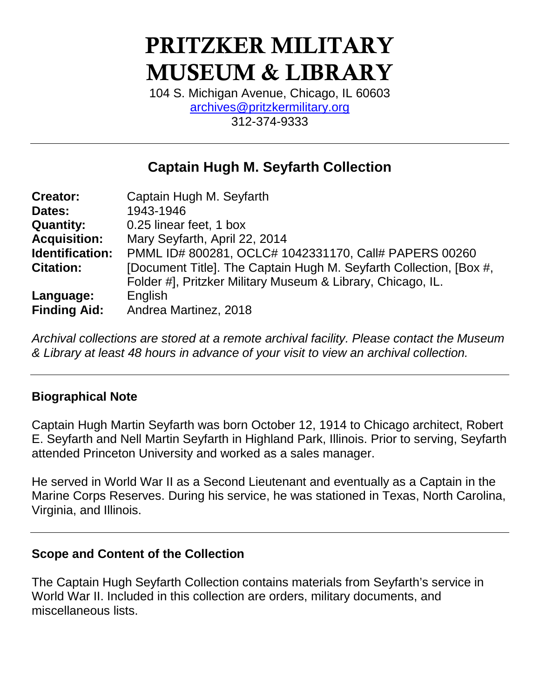# PRITZKER MILITARY MUSEUM & LIBRARY

104 S. Michigan Avenue, Chicago, IL 60603 [archives@pritzkermilitary.org](mailto:archives@pritzkermilitary.org) 312-374-9333

## **Captain Hugh M. Seyfarth Collection**

| <b>Creator:</b>     | Captain Hugh M. Seyfarth                                           |
|---------------------|--------------------------------------------------------------------|
| Dates:              | 1943-1946                                                          |
| <b>Quantity:</b>    | 0.25 linear feet, 1 box                                            |
| <b>Acquisition:</b> | Mary Seyfarth, April 22, 2014                                      |
| Identification:     | PMML ID# 800281, OCLC# 1042331170, Call# PAPERS 00260              |
| <b>Citation:</b>    | [Document Title]. The Captain Hugh M. Seyfarth Collection, [Box #, |
|                     | Folder #], Pritzker Military Museum & Library, Chicago, IL.        |
| Language:           | English                                                            |
| <b>Finding Aid:</b> | Andrea Martinez, 2018                                              |

*Archival collections are stored at a remote archival facility. Please contact the Museum & Library at least 48 hours in advance of your visit to view an archival collection.*

## **Biographical Note**

Captain Hugh Martin Seyfarth was born October 12, 1914 to Chicago architect, Robert E. Seyfarth and Nell Martin Seyfarth in Highland Park, Illinois. Prior to serving, Seyfarth attended Princeton University and worked as a sales manager.

He served in World War II as a Second Lieutenant and eventually as a Captain in the Marine Corps Reserves. During his service, he was stationed in Texas, North Carolina, Virginia, and Illinois.

#### **Scope and Content of the Collection**

The Captain Hugh Seyfarth Collection contains materials from Seyfarth's service in World War II. Included in this collection are orders, military documents, and miscellaneous lists.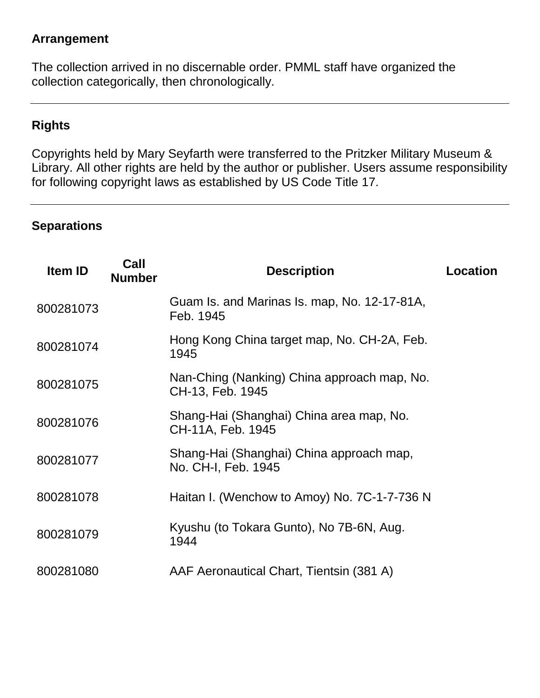## **Arrangement**

The collection arrived in no discernable order. PMML staff have organized the collection categorically, then chronologically.

## **Rights**

Copyrights held by Mary Seyfarth were transferred to the Pritzker Military Museum & Library. All other rights are held by the author or publisher. Users assume responsibility for following copyright laws as established by US Code Title 17.

#### **Separations**

| Item ID   | Call<br><b>Number</b> | <b>Description</b>                                              | <b>Location</b> |
|-----------|-----------------------|-----------------------------------------------------------------|-----------------|
| 800281073 |                       | Guam Is. and Marinas Is. map, No. 12-17-81A,<br>Feb. 1945       |                 |
| 800281074 |                       | Hong Kong China target map, No. CH-2A, Feb.<br>1945             |                 |
| 800281075 |                       | Nan-Ching (Nanking) China approach map, No.<br>CH-13, Feb. 1945 |                 |
| 800281076 |                       | Shang-Hai (Shanghai) China area map, No.<br>CH-11A, Feb. 1945   |                 |
| 800281077 |                       | Shang-Hai (Shanghai) China approach map,<br>No. CH-I, Feb. 1945 |                 |
| 800281078 |                       | Haitan I. (Wenchow to Amoy) No. 7C-1-7-736 N                    |                 |
| 800281079 |                       | Kyushu (to Tokara Gunto), No 7B-6N, Aug.<br>1944                |                 |
| 800281080 |                       | AAF Aeronautical Chart, Tientsin (381 A)                        |                 |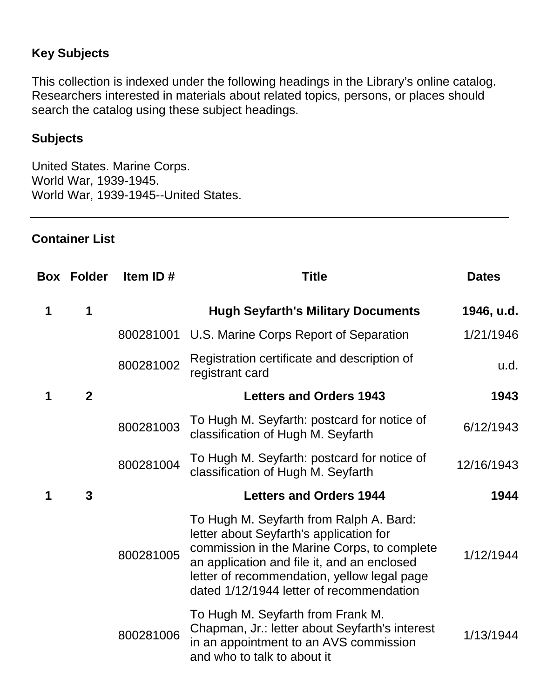## **Key Subjects**

This collection is indexed under the following headings in the Library's online catalog. Researchers interested in materials about related topics, persons, or places should search the catalog using these subject headings.

## **Subjects**

United States. Marine Corps. World War, 1939-1945. World War, 1939-1945--United States.

#### **Container List**

|   | <b>Box Folder</b> | Item ID#  | <b>Title</b>                                                                                                                                                                                                                                                                | <b>Dates</b> |
|---|-------------------|-----------|-----------------------------------------------------------------------------------------------------------------------------------------------------------------------------------------------------------------------------------------------------------------------------|--------------|
| 1 | 1                 |           | <b>Hugh Seyfarth's Military Documents</b>                                                                                                                                                                                                                                   | 1946, u.d.   |
|   |                   | 800281001 | U.S. Marine Corps Report of Separation                                                                                                                                                                                                                                      | 1/21/1946    |
|   |                   | 800281002 | Registration certificate and description of<br>registrant card                                                                                                                                                                                                              | u.d.         |
| 1 | $\overline{2}$    |           | <b>Letters and Orders 1943</b>                                                                                                                                                                                                                                              | 1943         |
|   |                   | 800281003 | To Hugh M. Seyfarth: postcard for notice of<br>classification of Hugh M. Seyfarth                                                                                                                                                                                           | 6/12/1943    |
|   |                   | 800281004 | To Hugh M. Seyfarth: postcard for notice of<br>classification of Hugh M. Seyfarth                                                                                                                                                                                           | 12/16/1943   |
| 1 | 3                 |           | <b>Letters and Orders 1944</b>                                                                                                                                                                                                                                              | 1944         |
|   |                   | 800281005 | To Hugh M. Seyfarth from Ralph A. Bard:<br>letter about Seyfarth's application for<br>commission in the Marine Corps, to complete<br>an application and file it, and an enclosed<br>letter of recommendation, yellow legal page<br>dated 1/12/1944 letter of recommendation | 1/12/1944    |
|   |                   | 800281006 | To Hugh M. Seyfarth from Frank M.<br>Chapman, Jr.: letter about Seyfarth's interest<br>in an appointment to an AVS commission<br>and who to talk to about it                                                                                                                | 1/13/1944    |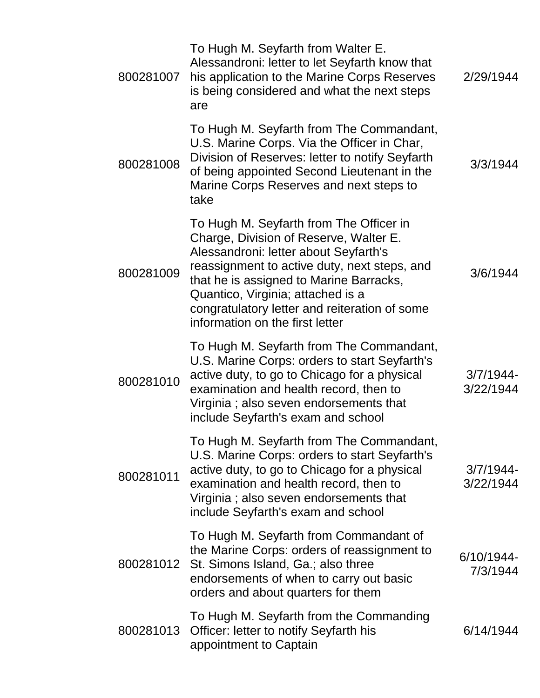| 800281007 | To Hugh M. Seyfarth from Walter E.<br>Alessandroni: letter to let Seyfarth know that<br>his application to the Marine Corps Reserves<br>is being considered and what the next steps<br>are                                                                                                                                                     | 2/29/1944                 |
|-----------|------------------------------------------------------------------------------------------------------------------------------------------------------------------------------------------------------------------------------------------------------------------------------------------------------------------------------------------------|---------------------------|
| 800281008 | To Hugh M. Seyfarth from The Commandant,<br>U.S. Marine Corps. Via the Officer in Char,<br>Division of Reserves: letter to notify Seyfarth<br>of being appointed Second Lieutenant in the<br>Marine Corps Reserves and next steps to<br>take                                                                                                   | 3/3/1944                  |
| 800281009 | To Hugh M. Seyfarth from The Officer in<br>Charge, Division of Reserve, Walter E.<br>Alessandroni: letter about Seyfarth's<br>reassignment to active duty, next steps, and<br>that he is assigned to Marine Barracks,<br>Quantico, Virginia; attached is a<br>congratulatory letter and reiteration of some<br>information on the first letter | 3/6/1944                  |
| 800281010 | To Hugh M. Seyfarth from The Commandant,<br>U.S. Marine Corps: orders to start Seyfarth's<br>active duty, to go to Chicago for a physical<br>examination and health record, then to<br>Virginia; also seven endorsements that<br>include Seyfarth's exam and school                                                                            | $3/7/1944$ -<br>3/22/1944 |
| 800281011 | To Hugh M. Seyfarth from The Commandant,<br>U.S. Marine Corps: orders to start Seyfarth's<br>active duty, to go to Chicago for a physical<br>examination and health record, then to<br>Virginia; also seven endorsements that<br>include Seyfarth's exam and school                                                                            | $3/7/1944$ -<br>3/22/1944 |
| 800281012 | To Hugh M. Seyfarth from Commandant of<br>the Marine Corps: orders of reassignment to<br>St. Simons Island, Ga.; also three<br>endorsements of when to carry out basic<br>orders and about quarters for them                                                                                                                                   | 6/10/1944-<br>7/3/1944    |
| 800281013 | To Hugh M. Seyfarth from the Commanding<br>Officer: letter to notify Seyfarth his<br>appointment to Captain                                                                                                                                                                                                                                    | 6/14/1944                 |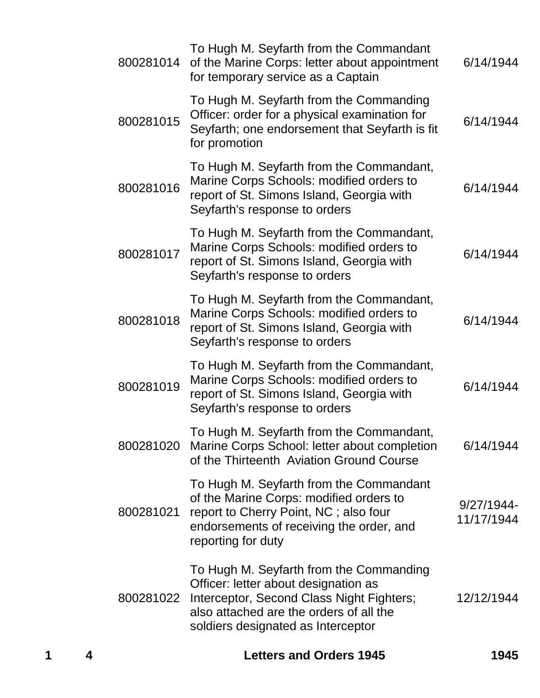| 4 |           | <b>Letters and Orders 1945</b>                                                                                                                                                                                | 1945                     |
|---|-----------|---------------------------------------------------------------------------------------------------------------------------------------------------------------------------------------------------------------|--------------------------|
|   | 800281022 | To Hugh M. Seyfarth from the Commanding<br>Officer: letter about designation as<br>Interceptor, Second Class Night Fighters;<br>also attached are the orders of all the<br>soldiers designated as Interceptor | 12/12/1944               |
|   | 800281021 | To Hugh M. Seyfarth from the Commandant<br>of the Marine Corps: modified orders to<br>report to Cherry Point, NC; also four<br>endorsements of receiving the order, and<br>reporting for duty                 | 9/27/1944-<br>11/17/1944 |
|   | 800281020 | To Hugh M. Seyfarth from the Commandant,<br>Marine Corps School: letter about completion<br>of the Thirteenth Aviation Ground Course                                                                          | 6/14/1944                |
|   | 800281019 | To Hugh M. Seyfarth from the Commandant,<br>Marine Corps Schools: modified orders to<br>report of St. Simons Island, Georgia with<br>Seyfarth's response to orders                                            | 6/14/1944                |
|   | 800281018 | To Hugh M. Seyfarth from the Commandant,<br>Marine Corps Schools: modified orders to<br>report of St. Simons Island, Georgia with<br>Seyfarth's response to orders                                            | 6/14/1944                |
|   | 800281017 | To Hugh M. Seyfarth from the Commandant,<br>Marine Corps Schools: modified orders to<br>report of St. Simons Island, Georgia with<br>Seyfarth's response to orders                                            | 6/14/1944                |
|   | 800281016 | To Hugh M. Seyfarth from the Commandant,<br>Marine Corps Schools: modified orders to<br>report of St. Simons Island, Georgia with<br>Seyfarth's response to orders                                            | 6/14/1944                |
|   | 800281015 | To Hugh M. Seyfarth from the Commanding<br>Officer: order for a physical examination for<br>Seyfarth; one endorsement that Seyfarth is fit<br>for promotion                                                   | 6/14/1944                |
|   | 800281014 | To Hugh M. Seyfarth from the Commandant<br>of the Marine Corps: letter about appointment<br>for temporary service as a Captain                                                                                | 6/14/1944                |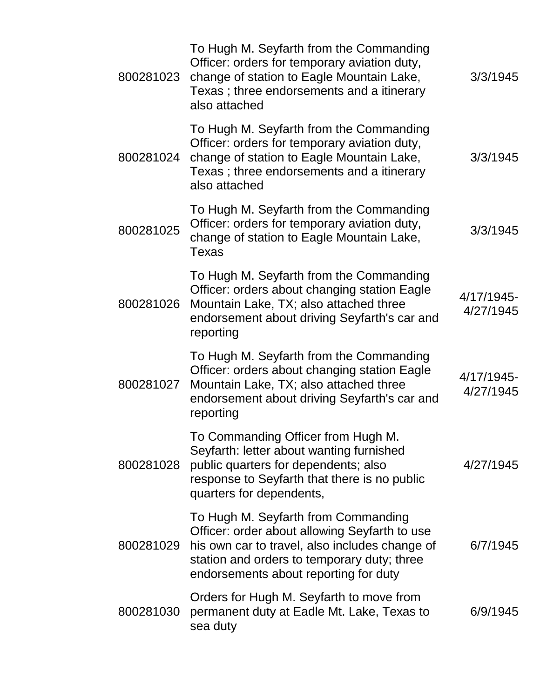| 800281023 | To Hugh M. Seyfarth from the Commanding<br>Officer: orders for temporary aviation duty,<br>change of station to Eagle Mountain Lake,<br>Texas; three endorsements and a itinerary<br>also attached                             | 3/3/1945                |
|-----------|--------------------------------------------------------------------------------------------------------------------------------------------------------------------------------------------------------------------------------|-------------------------|
| 800281024 | To Hugh M. Seyfarth from the Commanding<br>Officer: orders for temporary aviation duty,<br>change of station to Eagle Mountain Lake,<br>Texas; three endorsements and a itinerary<br>also attached                             | 3/3/1945                |
| 800281025 | To Hugh M. Seyfarth from the Commanding<br>Officer: orders for temporary aviation duty,<br>change of station to Eagle Mountain Lake,<br><b>Texas</b>                                                                           | 3/3/1945                |
| 800281026 | To Hugh M. Seyfarth from the Commanding<br>Officer: orders about changing station Eagle<br>Mountain Lake, TX; also attached three<br>endorsement about driving Seyfarth's car and<br>reporting                                 | 4/17/1945-<br>4/27/1945 |
| 800281027 | To Hugh M. Seyfarth from the Commanding<br>Officer: orders about changing station Eagle<br>Mountain Lake, TX; also attached three<br>endorsement about driving Seyfarth's car and<br>reporting                                 | 4/17/1945-<br>4/27/1945 |
| 800281028 | To Commanding Officer from Hugh M.<br>Seyfarth: letter about wanting furnished<br>public quarters for dependents; also<br>response to Seyfarth that there is no public<br>quarters for dependents,                             | 4/27/1945               |
| 800281029 | To Hugh M. Seyfarth from Commanding<br>Officer: order about allowing Seyfarth to use<br>his own car to travel, also includes change of<br>station and orders to temporary duty; three<br>endorsements about reporting for duty | 6/7/1945                |
| 800281030 | Orders for Hugh M. Seyfarth to move from<br>permanent duty at Eadle Mt. Lake, Texas to<br>sea duty                                                                                                                             | 6/9/1945                |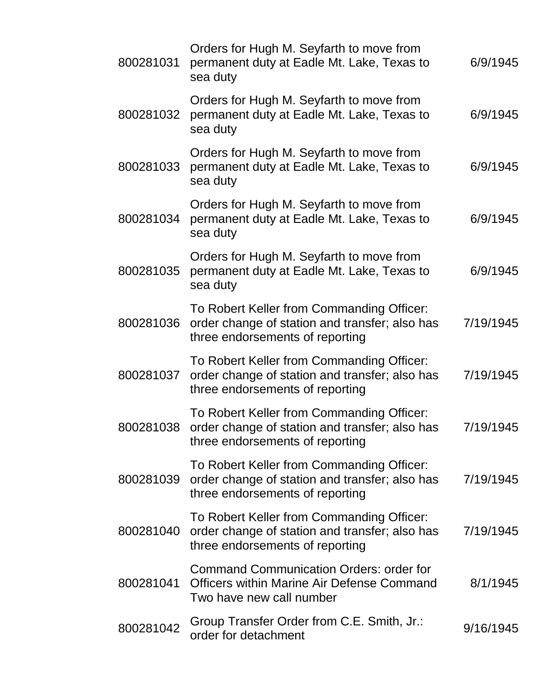| 800281031 | Orders for Hugh M. Seyfarth to move from<br>permanent duty at Eadle Mt. Lake, Texas to<br>sea duty                              | 6/9/1945  |
|-----------|---------------------------------------------------------------------------------------------------------------------------------|-----------|
| 800281032 | Orders for Hugh M. Seyfarth to move from<br>permanent duty at Eadle Mt. Lake, Texas to<br>sea duty                              | 6/9/1945  |
| 800281033 | Orders for Hugh M. Seyfarth to move from<br>permanent duty at Eadle Mt. Lake, Texas to<br>sea duty                              | 6/9/1945  |
| 800281034 | Orders for Hugh M. Seyfarth to move from<br>permanent duty at Eadle Mt. Lake, Texas to<br>sea duty                              | 6/9/1945  |
| 800281035 | Orders for Hugh M. Seyfarth to move from<br>permanent duty at Eadle Mt. Lake, Texas to<br>sea duty                              | 6/9/1945  |
| 800281036 | To Robert Keller from Commanding Officer:<br>order change of station and transfer; also has<br>three endorsements of reporting  | 7/19/1945 |
| 800281037 | To Robert Keller from Commanding Officer:<br>order change of station and transfer; also has<br>three endorsements of reporting  | 7/19/1945 |
| 800281038 | To Robert Keller from Commanding Officer:<br>order change of station and transfer; also has<br>three endorsements of reporting  | 7/19/1945 |
| 800281039 | To Robert Keller from Commanding Officer:<br>order change of station and transfer; also has<br>three endorsements of reporting  | 7/19/1945 |
| 800281040 | To Robert Keller from Commanding Officer:<br>order change of station and transfer; also has<br>three endorsements of reporting  | 7/19/1945 |
| 800281041 | <b>Command Communication Orders: order for</b><br><b>Officers within Marine Air Defense Command</b><br>Two have new call number | 8/1/1945  |
| 800281042 | Group Transfer Order from C.E. Smith, Jr.:<br>order for detachment                                                              | 9/16/1945 |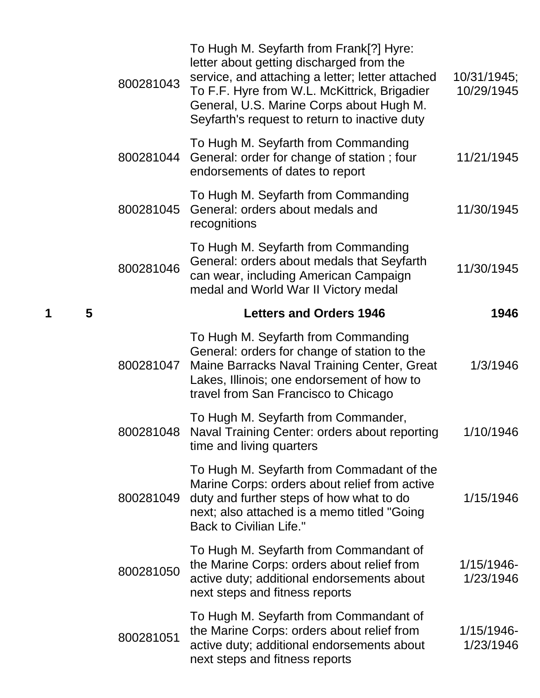|   |   | 800281043 | To Hugh M. Seyfarth from Frank[?] Hyre:<br>letter about getting discharged from the<br>service, and attaching a letter; letter attached<br>To F.F. Hyre from W.L. McKittrick, Brigadier<br>General, U.S. Marine Corps about Hugh M.<br>Seyfarth's request to return to inactive duty | 10/31/1945;<br>10/29/1945 |
|---|---|-----------|--------------------------------------------------------------------------------------------------------------------------------------------------------------------------------------------------------------------------------------------------------------------------------------|---------------------------|
|   |   | 800281044 | To Hugh M. Seyfarth from Commanding<br>General: order for change of station; four<br>endorsements of dates to report                                                                                                                                                                 | 11/21/1945                |
|   |   | 800281045 | To Hugh M. Seyfarth from Commanding<br>General: orders about medals and<br>recognitions                                                                                                                                                                                              | 11/30/1945                |
|   |   | 800281046 | To Hugh M. Seyfarth from Commanding<br>General: orders about medals that Seyfarth<br>can wear, including American Campaign<br>medal and World War II Victory medal                                                                                                                   | 11/30/1945                |
| 1 | 5 |           | <b>Letters and Orders 1946</b>                                                                                                                                                                                                                                                       | 1946                      |
|   |   | 800281047 | To Hugh M. Seyfarth from Commanding<br>General: orders for change of station to the<br>Maine Barracks Naval Training Center, Great<br>Lakes, Illinois; one endorsement of how to<br>travel from San Francisco to Chicago                                                             | 1/3/1946                  |
|   |   | 800281048 | To Hugh M. Seyfarth from Commander,<br>Naval Training Center: orders about reporting<br>time and living quarters                                                                                                                                                                     | 1/10/1946                 |
|   |   | 800281049 | To Hugh M. Seyfarth from Commadant of the<br>Marine Corps: orders about relief from active<br>duty and further steps of how what to do<br>next; also attached is a memo titled "Going<br><b>Back to Civilian Life."</b>                                                              | 1/15/1946                 |
|   |   | 800281050 | To Hugh M. Seyfarth from Commandant of<br>the Marine Corps: orders about relief from<br>active duty; additional endorsements about<br>next steps and fitness reports                                                                                                                 | 1/15/1946-<br>1/23/1946   |
|   |   | 800281051 | To Hugh M. Seyfarth from Commandant of<br>the Marine Corps: orders about relief from<br>active duty; additional endorsements about<br>next steps and fitness reports                                                                                                                 | 1/15/1946-<br>1/23/1946   |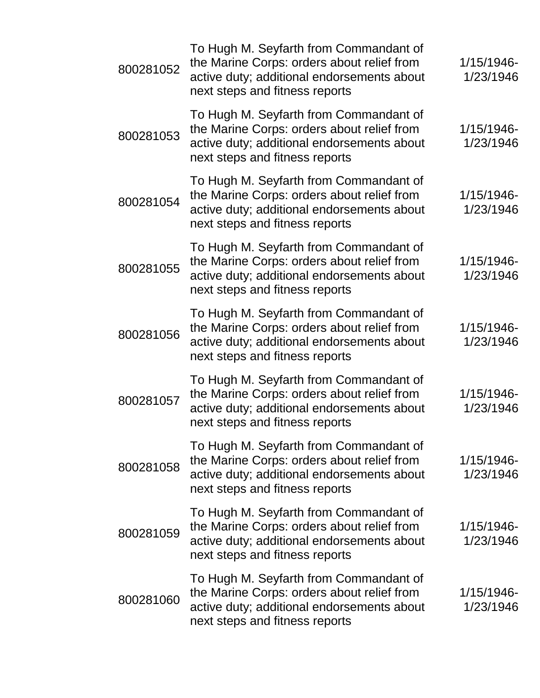| 800281052 | To Hugh M. Seyfarth from Commandant of<br>the Marine Corps: orders about relief from<br>active duty; additional endorsements about<br>next steps and fitness reports | 1/15/1946-<br>1/23/1946    |
|-----------|----------------------------------------------------------------------------------------------------------------------------------------------------------------------|----------------------------|
| 800281053 | To Hugh M. Seyfarth from Commandant of<br>the Marine Corps: orders about relief from<br>active duty; additional endorsements about<br>next steps and fitness reports | $1/15/1946$ -<br>1/23/1946 |
| 800281054 | To Hugh M. Seyfarth from Commandant of<br>the Marine Corps: orders about relief from<br>active duty; additional endorsements about<br>next steps and fitness reports | 1/15/1946-<br>1/23/1946    |
| 800281055 | To Hugh M. Seyfarth from Commandant of<br>the Marine Corps: orders about relief from<br>active duty; additional endorsements about<br>next steps and fitness reports | 1/15/1946-<br>1/23/1946    |
| 800281056 | To Hugh M. Seyfarth from Commandant of<br>the Marine Corps: orders about relief from<br>active duty; additional endorsements about<br>next steps and fitness reports | $1/15/1946$ -<br>1/23/1946 |
| 800281057 | To Hugh M. Seyfarth from Commandant of<br>the Marine Corps: orders about relief from<br>active duty; additional endorsements about<br>next steps and fitness reports | $1/15/1946$ -<br>1/23/1946 |
| 800281058 | To Hugh M. Seyfarth from Commandant of<br>the Marine Corps: orders about relief from<br>active duty; additional endorsements about<br>next steps and fitness reports | $1/15/1946$ -<br>1/23/1946 |
| 800281059 | To Hugh M. Seyfarth from Commandant of<br>the Marine Corps: orders about relief from<br>active duty; additional endorsements about<br>next steps and fitness reports | $1/15/1946$ -<br>1/23/1946 |
| 800281060 | To Hugh M. Seyfarth from Commandant of<br>the Marine Corps: orders about relief from<br>active duty; additional endorsements about<br>next steps and fitness reports | $1/15/1946$ -<br>1/23/1946 |
|           |                                                                                                                                                                      |                            |